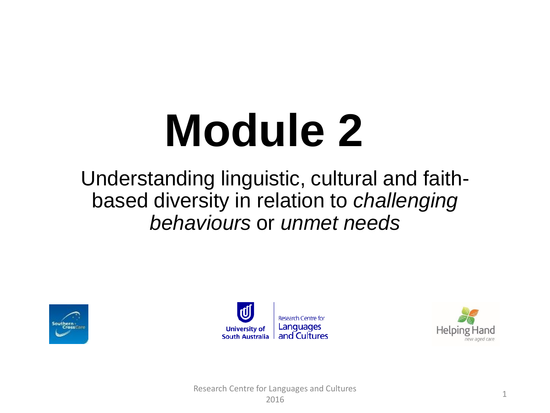# **Module 2**

#### Understanding linguistic, cultural and faithbased diversity in relation to *challenging behaviours* or *unmet needs*





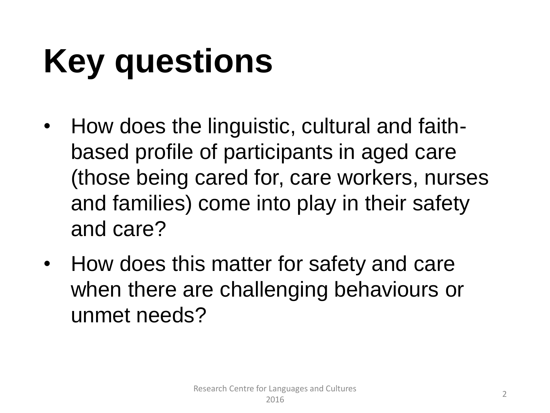# **Key questions**

- How does the linguistic, cultural and faithbased profile of participants in aged care (those being cared for, care workers, nurses and families) come into play in their safety and care?
- How does this matter for safety and care when there are challenging behaviours or unmet needs?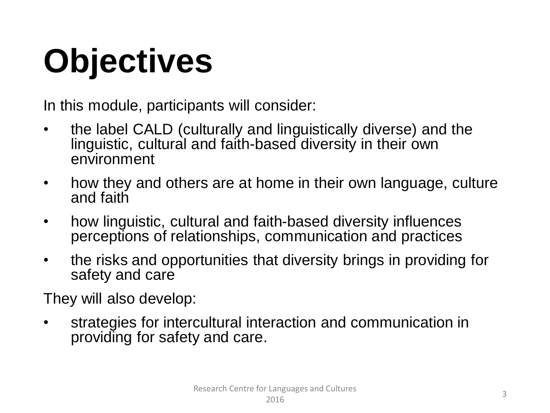# **Objectives**

In this module, participants will consider:

- the label CALD (culturally and linguistically diverse) and the linguistic, cultural and faith-based diversity in their own environment
- how they and others are at home in their own language, culture and faith
- how linguistic, cultural and faith-based diversity influences perceptions of relationships, communication and practices
- the risks and opportunities that diversity brings in providing for safety and care

They will also develop:

strategies for intercultural interaction and communication in providing for safety and care.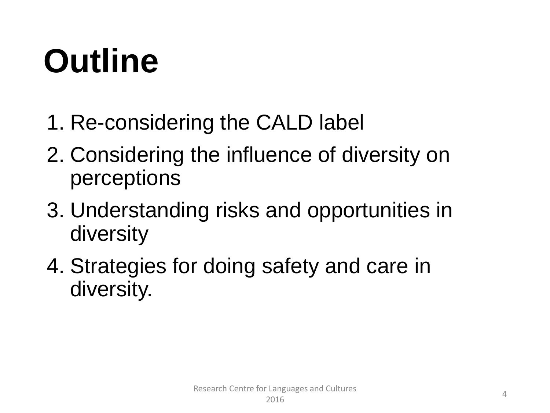### **Outline**

- 1. Re-considering the CALD label
- 2. Considering the influence of diversity on perceptions
- 3. Understanding risks and opportunities in diversity
- 4. Strategies for doing safety and care in diversity.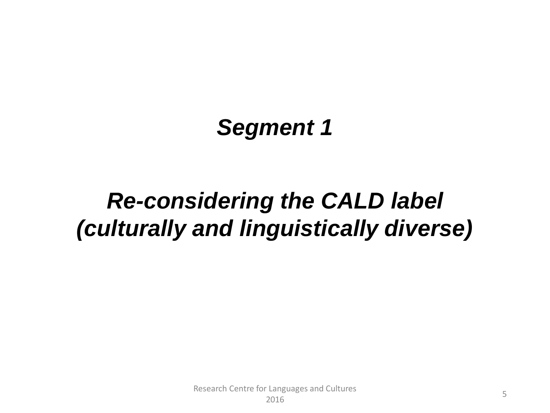#### *Segment 1*

### *Re-considering the CALD label (culturally and linguistically diverse)*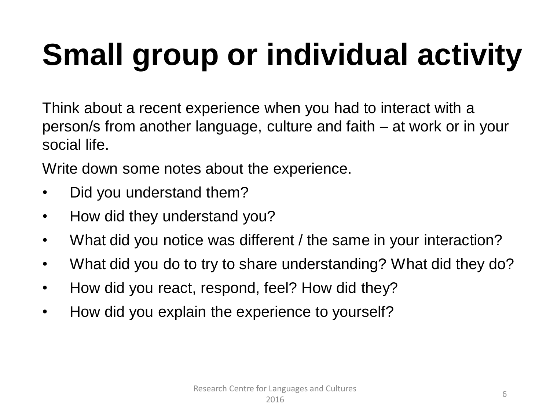### **Small group or individual activity**

Think about a recent experience when you had to interact with a person/s from another language, culture and faith – at work or in your social life.

Write down some notes about the experience.

- Did you understand them?
- How did they understand you?
- What did you notice was different / the same in your interaction?
- What did you do to try to share understanding? What did they do?
- How did you react, respond, feel? How did they?
- How did you explain the experience to yourself?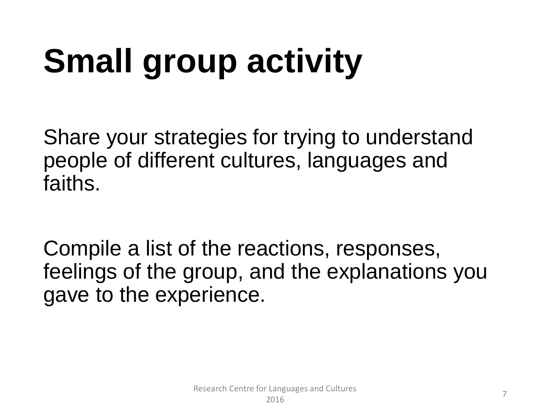# **Small group activity**

Share your strategies for trying to understand people of different cultures, languages and faiths.

Compile a list of the reactions, responses, feelings of the group, and the explanations you gave to the experience.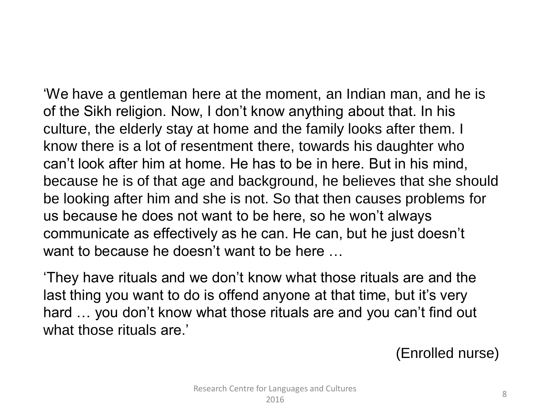'We have a gentleman here at the moment, an Indian man, and he is of the Sikh religion. Now, I don't know anything about that. In his culture, the elderly stay at home and the family looks after them. I know there is a lot of resentment there, towards his daughter who can't look after him at home. He has to be in here. But in his mind, because he is of that age and background, he believes that she should be looking after him and she is not. So that then causes problems for us because he does not want to be here, so he won't always communicate as effectively as he can. He can, but he just doesn't want to because he doesn't want to be here …

'They have rituals and we don't know what those rituals are and the last thing you want to do is offend anyone at that time, but it's very hard … you don't know what those rituals are and you can't find out what those rituals are.'

(Enrolled nurse)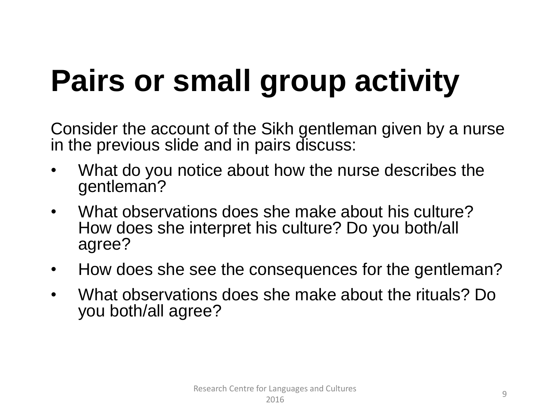### **Pairs or small group activity**

Consider the account of the Sikh gentleman given by a nurse in the previous slide and in pairs discuss:

- What do you notice about how the nurse describes the gentleman?
- What observations does she make about his culture? How does she interpret his culture? Do you both/all agree?
- How does she see the consequences for the gentleman?
- What observations does she make about the rituals? Do you both/all agree?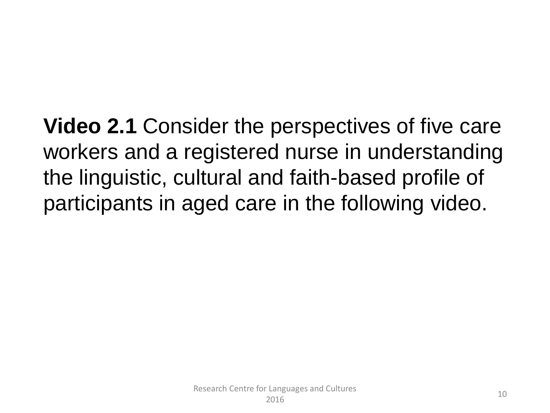**Video 2.1** Consider the perspectives of five care workers and a registered nurse in understanding the linguistic, cultural and faith-based profile of participants in aged care in the following video.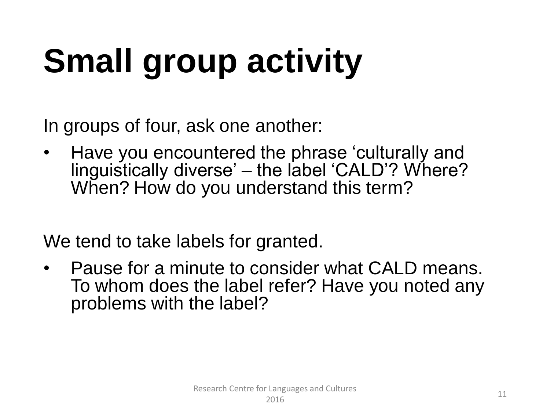# **Small group activity**

In groups of four, ask one another:

• Have you encountered the phrase 'culturally and linguistically diverse' – the label 'CALD'? Where? When? How do you understand this term?

We tend to take labels for granted.

• Pause for a minute to consider what CALD means. To whom does the label refer? Have you noted any problems with the label?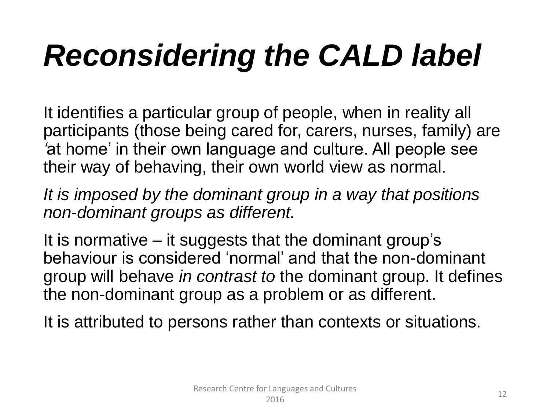### *Reconsidering the CALD label*

It identifies a particular group of people, when in reality all participants (those being cared for, carers, nurses, family) are *'*at home' in their own language and culture. All people see their way of behaving, their own world view as normal.

*It is imposed by the dominant group in a way that positions non-dominant groups as different.*

It is normative – it suggests that the dominant group's behaviour is considered 'normal' and that the non-dominant group will behave *in contrast to* the dominant group. It defines the non-dominant group as a problem or as different.

It is attributed to persons rather than contexts or situations.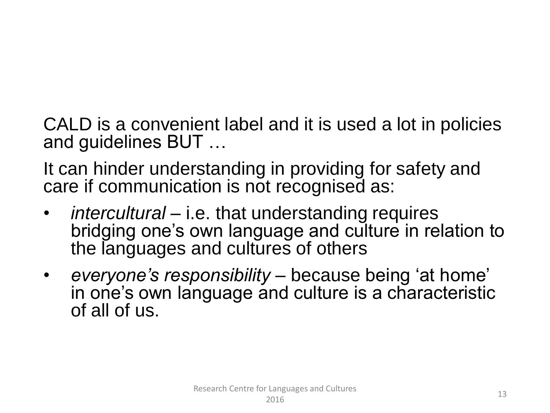CALD is a convenient label and it is used a lot in policies and guidelines BUT …

It can hinder understanding in providing for safety and care if communication is not recognised as:

- *intercultural* i.e. that understanding requires bridging one's own language and culture in relation to the languages and cultures of others
- *everyone's responsibility –* because being 'at home' in one's own language and culture is a characteristic of all of us.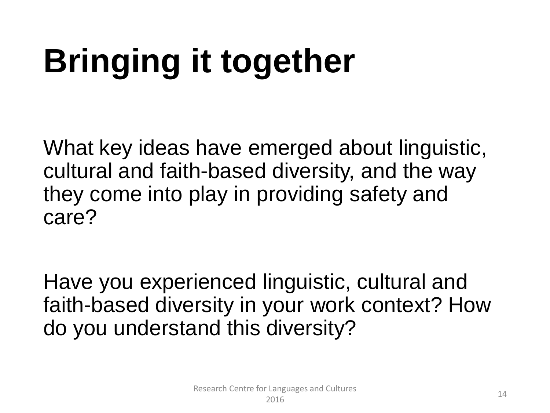# **Bringing it together**

What key ideas have emerged about linguistic, cultural and faith-based diversity, and the way they come into play in providing safety and care?

Have you experienced linguistic, cultural and faith-based diversity in your work context? How do you understand this diversity?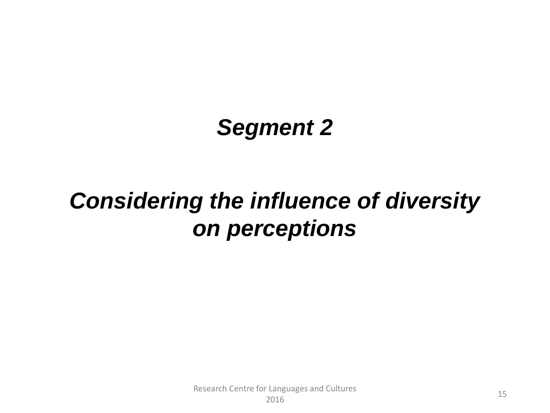#### *Segment 2*

#### *Considering the influence of diversity on perceptions*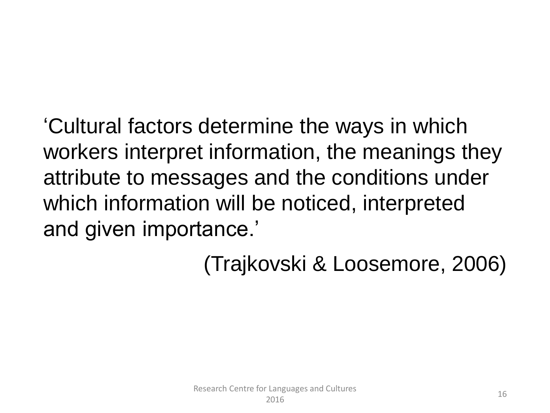'Cultural factors determine the ways in which workers interpret information, the meanings they attribute to messages and the conditions under which information will be noticed, interpreted and given importance.'

(Trajkovski & Loosemore, 2006)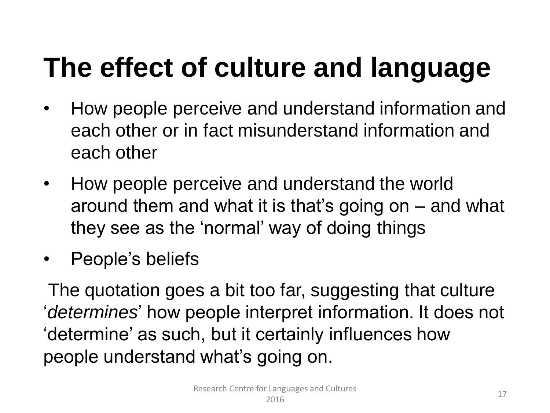### **The effect of culture and language**

- How people perceive and understand information and each other or in fact misunderstand information and each other
- How people perceive and understand the world around them and what it is that's going on – and what they see as the 'normal' way of doing things
- People's beliefs

The quotation goes a bit too far, suggesting that culture '*determines*' how people interpret information. It does not 'determine' as such, but it certainly influences how people understand what's going on.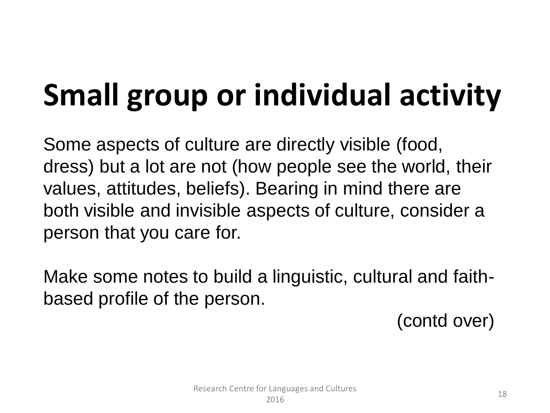### **Small group or individual activity**

Some aspects of culture are directly visible (food, dress) but a lot are not (how people see the world, their values, attitudes, beliefs). Bearing in mind there are both visible and invisible aspects of culture, consider a person that you care for.

Make some notes to build a linguistic, cultural and faithbased profile of the person.

(contd over)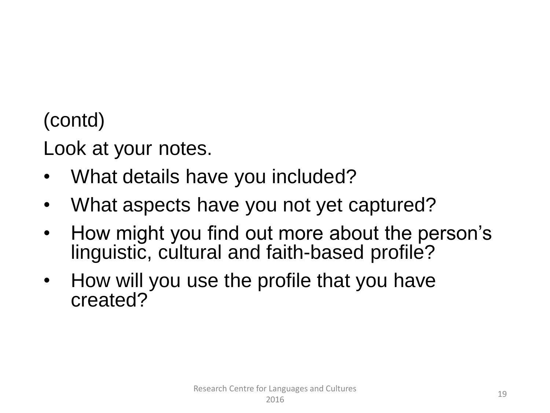(contd)

Look at your notes.

- What details have you included?
- What aspects have you not yet captured?
- How might you find out more about the person's linguistic, cultural and faith-based profile?
- How will you use the profile that you have created?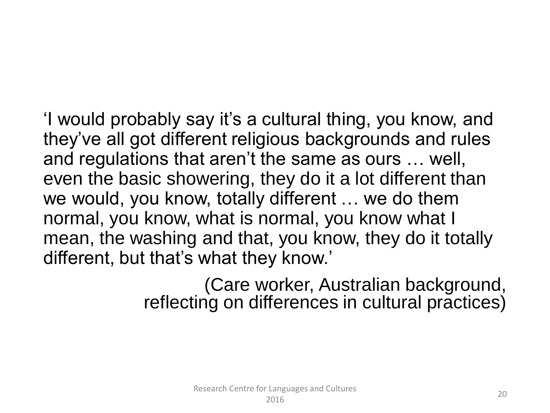'I would probably say it's a cultural thing, you know, and they've all got different religious backgrounds and rules and regulations that aren't the same as ours … well, even the basic showering, they do it a lot different than we would, you know, totally different … we do them normal, you know, what is normal, you know what I mean, the washing and that, you know, they do it totally different, but that's what they know.'

> (Care worker, Australian background, reflecting on differences in cultural practices)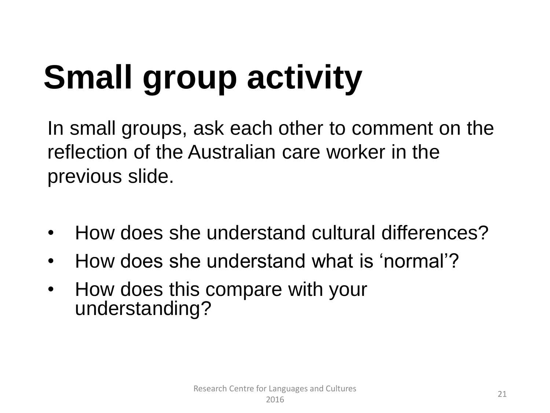### **Small group activity**

In small groups, ask each other to comment on the reflection of the Australian care worker in the previous slide.

- How does she understand cultural differences?
- How does she understand what is 'normal'?
- How does this compare with your understanding?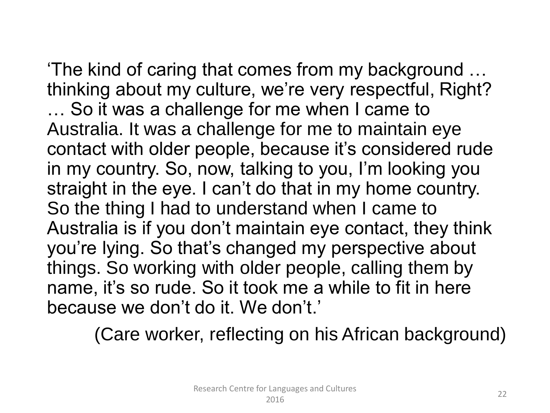'The kind of caring that comes from my background … thinking about my culture, we're very respectful, Right? … So it was a challenge for me when I came to Australia. It was a challenge for me to maintain eye contact with older people, because it's considered rude in my country. So, now, talking to you, I'm looking you straight in the eye. I can't do that in my home country. So the thing I had to understand when I came to Australia is if you don't maintain eye contact, they think you're lying. So that's changed my perspective about things. So working with older people, calling them by name, it's so rude. So it took me a while to fit in here because we don't do it. We don't.'

(Care worker, reflecting on his African background)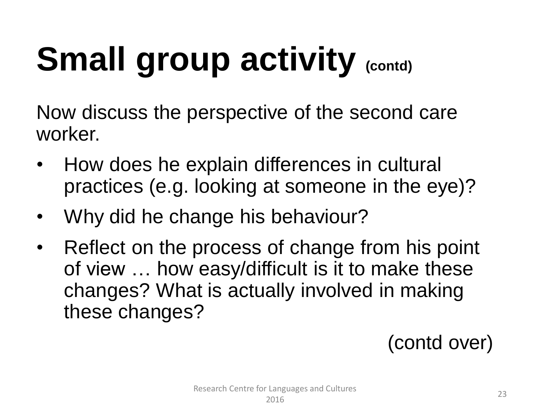# **Small group activity (contd)**

Now discuss the perspective of the second care worker.

- How does he explain differences in cultural practices (e.g. looking at someone in the eye)?
- Why did he change his behaviour?
- Reflect on the process of change from his point of view … how easy/difficult is it to make these changes? What is actually involved in making these changes?

(contd over)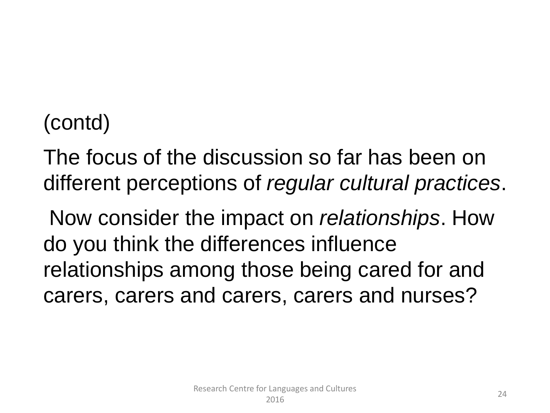#### (contd)

The focus of the discussion so far has been on different perceptions of *regular cultural practices*.

Now consider the impact on *relationships*. How do you think the differences influence relationships among those being cared for and carers, carers and carers, carers and nurses?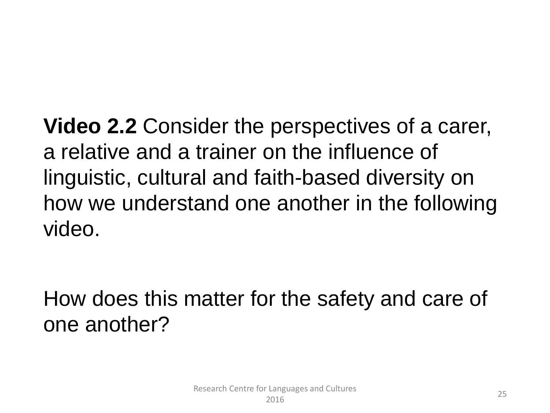**Video 2.2** Consider the perspectives of a carer, a relative and a trainer on the influence of linguistic, cultural and faith-based diversity on how we understand one another in the following video.

How does this matter for the safety and care of one another?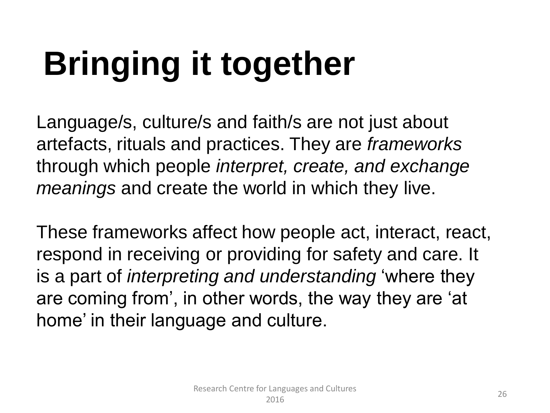# **Bringing it together**

Language/s, culture/s and faith/s are not just about artefacts, rituals and practices. They are *frameworks* through which people *interpret, create, and exchange meanings* and create the world in which they live.

These frameworks affect how people act, interact, react, respond in receiving or providing for safety and care. It is a part of *interpreting and understanding* 'where they are coming from', in other words, the way they are 'at home' in their language and culture.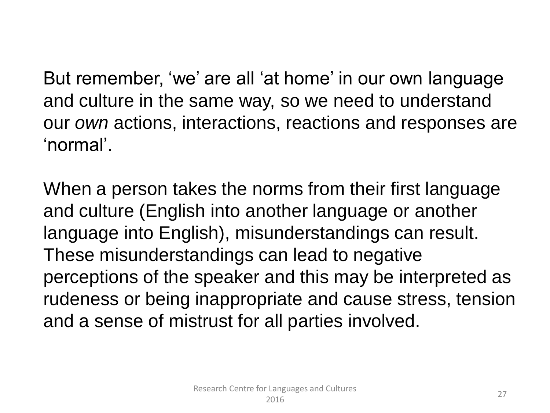But remember, 'we' are all 'at home' in our own language and culture in the same way, so we need to understand our *own* actions, interactions, reactions and responses are 'normal'.

When a person takes the norms from their first language and culture (English into another language or another language into English), misunderstandings can result. These misunderstandings can lead to negative perceptions of the speaker and this may be interpreted as rudeness or being inappropriate and cause stress, tension and a sense of mistrust for all parties involved.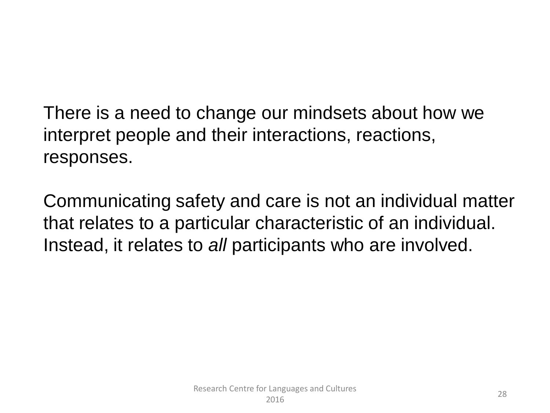There is a need to change our mindsets about how we interpret people and their interactions, reactions, responses.

Communicating safety and care is not an individual matter that relates to a particular characteristic of an individual. Instead, it relates to *all* participants who are involved.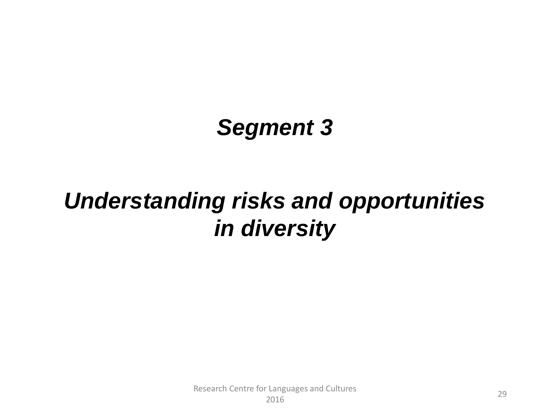#### *Segment 3*

#### *Understanding risks and opportunities in diversity*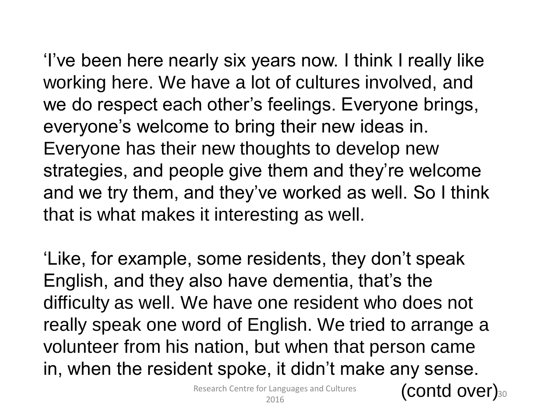'I've been here nearly six years now. I think I really like working here. We have a lot of cultures involved, and we do respect each other's feelings. Everyone brings, everyone's welcome to bring their new ideas in. Everyone has their new thoughts to develop new strategies, and people give them and they're welcome and we try them, and they've worked as well. So I think that is what makes it interesting as well.

'Like, for example, some residents, they don't speak English, and they also have dementia, that's the difficulty as well. We have one resident who does not really speak one word of English. We tried to arrange a volunteer from his nation, but when that person came in, when the resident spoke, it didn't make any sense.

Research Centre for Languages and Cultures

Elanguages and Cultures (contd over)30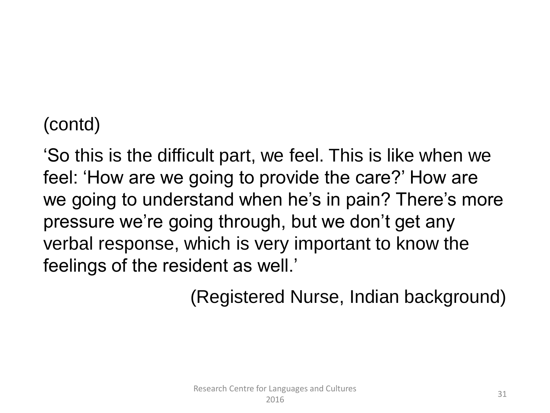#### (contd)

'So this is the difficult part, we feel. This is like when we feel: 'How are we going to provide the care?' How are we going to understand when he's in pain? There's more pressure we're going through, but we don't get any verbal response, which is very important to know the feelings of the resident as well.'

(Registered Nurse, Indian background)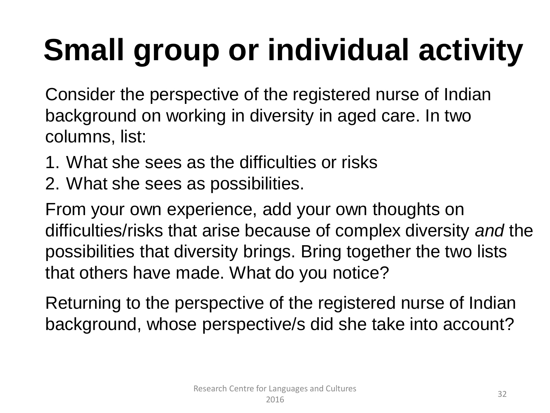### **Small group or individual activity**

Consider the perspective of the registered nurse of Indian background on working in diversity in aged care. In two columns, list:

- 1. What she sees as the difficulties or risks
- 2. What she sees as possibilities.

From your own experience, add your own thoughts on difficulties/risks that arise because of complex diversity *and* the possibilities that diversity brings. Bring together the two lists that others have made. What do you notice?

Returning to the perspective of the registered nurse of Indian background, whose perspective/s did she take into account?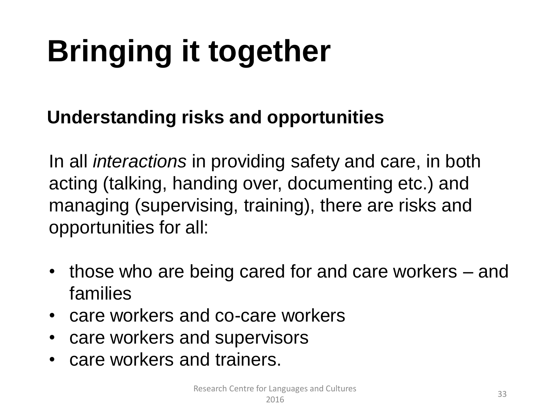### **Bringing it together**

#### **Understanding risks and opportunities**

In all *interactions* in providing safety and care, in both acting (talking, handing over, documenting etc.) and managing (supervising, training), there are risks and opportunities for all:

- those who are being cared for and care workers and families
- care workers and co-care workers
- care workers and supervisors
- care workers and trainers.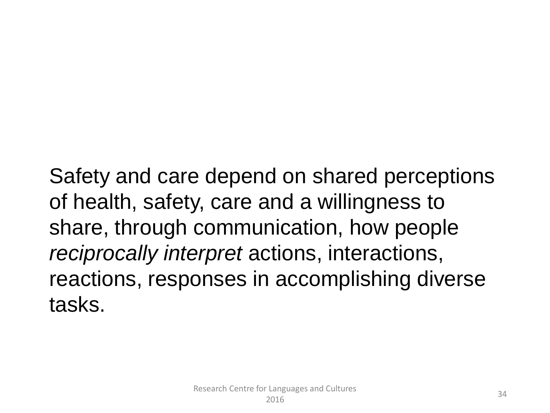Safety and care depend on shared perceptions of health, safety, care and a willingness to share, through communication, how people *reciprocally interpret* actions, interactions, reactions, responses in accomplishing diverse tasks.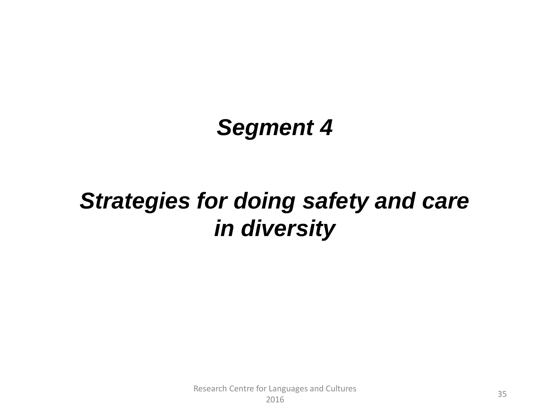#### *Segment 4*

#### *Strategies for doing safety and care in diversity*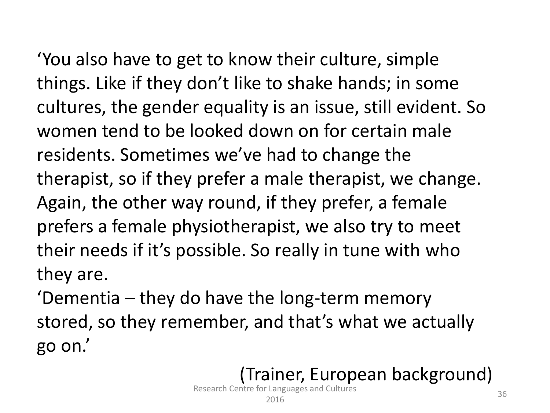'You also have to get to know their culture, simple things. Like if they don't like to shake hands; in some cultures, the gender equality is an issue, still evident. So women tend to be looked down on for certain male residents. Sometimes we've had to change the therapist, so if they prefer a male therapist, we change. Again, the other way round, if they prefer, a female prefers a female physiotherapist, we also try to meet their needs if it's possible. So really in tune with who they are.

'Dementia – they do have the long-term memory stored, so they remember, and that's what we actually go on.'

#### (Trainer, European background)

Research Centre for Languages and Cultures 2016 2016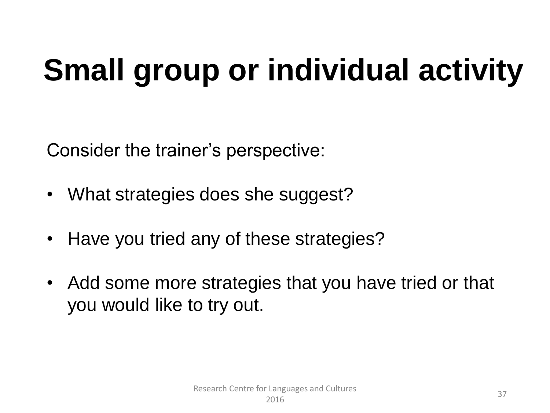### **Small group or individual activity**

Consider the trainer's perspective:

- What strategies does she suggest?
- Have you tried any of these strategies?
- Add some more strategies that you have tried or that you would like to try out.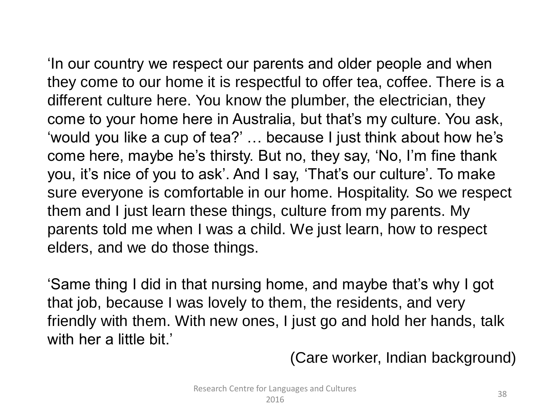'In our country we respect our parents and older people and when they come to our home it is respectful to offer tea, coffee. There is a different culture here. You know the plumber, the electrician, they come to your home here in Australia, but that's my culture. You ask, 'would you like a cup of tea?' … because I just think about how he's come here, maybe he's thirsty. But no, they say, 'No, I'm fine thank you, it's nice of you to ask'. And I say, 'That's our culture'. To make sure everyone is comfortable in our home. Hospitality. So we respect them and I just learn these things, culture from my parents. My

parents told me when I was a child. We just learn, how to respect elders, and we do those things.

'Same thing I did in that nursing home, and maybe that's why I got that job, because I was lovely to them, the residents, and very friendly with them. With new ones, I just go and hold her hands, talk with her a little bit.'

(Care worker, Indian background)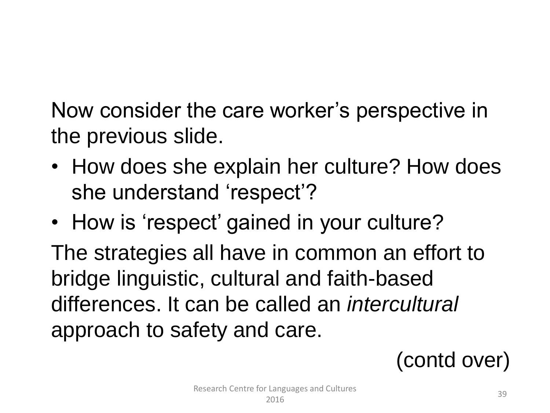Now consider the care worker's perspective in the previous slide.

- How does she explain her culture? How does she understand 'respect'?
- How is 'respect' gained in your culture?

The strategies all have in common an effort to bridge linguistic, cultural and faith-based differences. It can be called an *intercultural* approach to safety and care.

(contd over)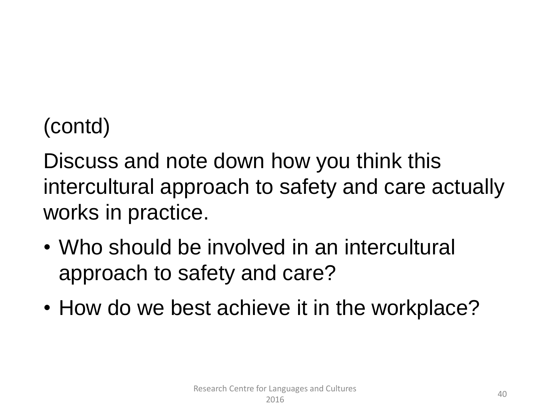#### (contd)

Discuss and note down how you think this intercultural approach to safety and care actually works in practice.

- Who should be involved in an intercultural approach to safety and care?
- How do we best achieve it in the workplace?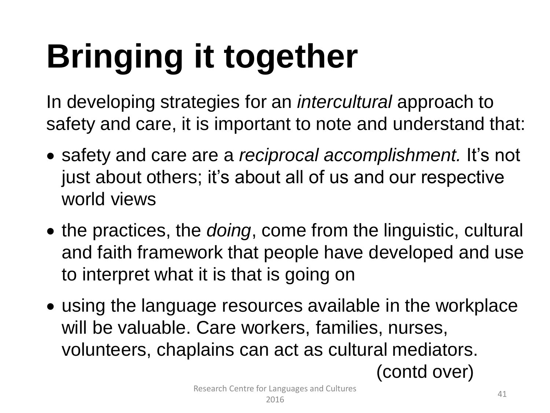# **Bringing it together**

In developing strategies for an *intercultural* approach to safety and care, it is important to note and understand that:

- safety and care are a *reciprocal accomplishment.* It's not just about others; it's about all of us and our respective world views
- the practices, the *doing*, come from the linguistic, cultural and faith framework that people have developed and use to interpret what it is that is going on
- using the language resources available in the workplace will be valuable. Care workers, families, nurses, volunteers, chaplains can act as cultural mediators.

(contd over)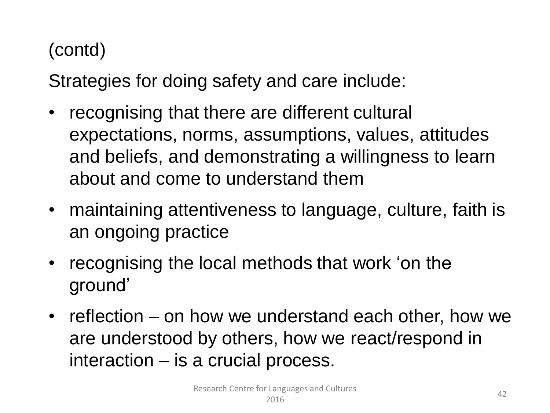#### (contd)

Strategies for doing safety and care include:

- recognising that there are different cultural expectations, norms, assumptions, values, attitudes and beliefs, and demonstrating a willingness to learn about and come to understand them
- maintaining attentiveness to language, culture, faith is an ongoing practice
- recognising the local methods that work 'on the ground'
- reflection on how we understand each other, how we are understood by others, how we react/respond in interaction – is a crucial process.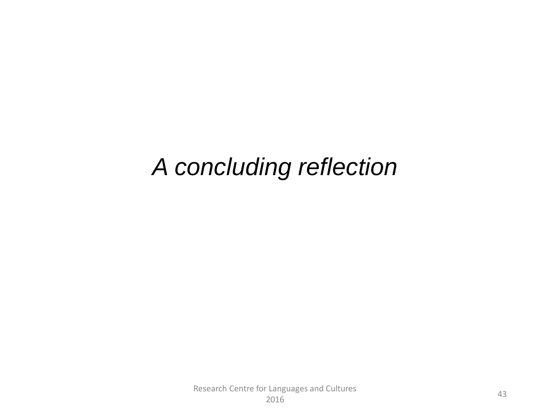#### *A concluding reflection*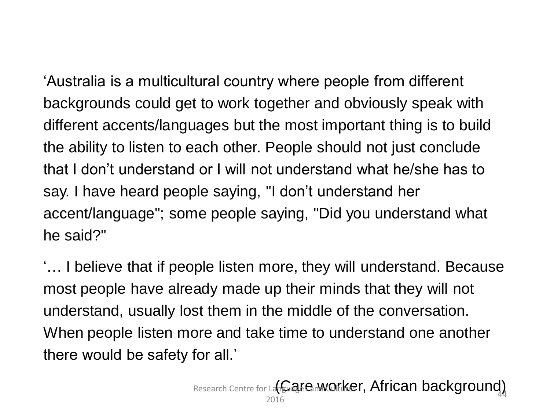'Australia is a multicultural country where people from different backgrounds could get to work together and obviously speak with different accents/languages but the most important thing is to build the ability to listen to each other. People should not just conclude that I don't understand or I will not understand what he/she has to say. I have heard people saying, "I don't understand her accent/language"; some people saying, "Did you understand what he said?"

'… I believe that if people listen more, they will understand. Because most people have already made up their minds that they will not understand, usually lost them in the middle of the conversation. When people listen more and take time to understand one another there would be safety for all.'